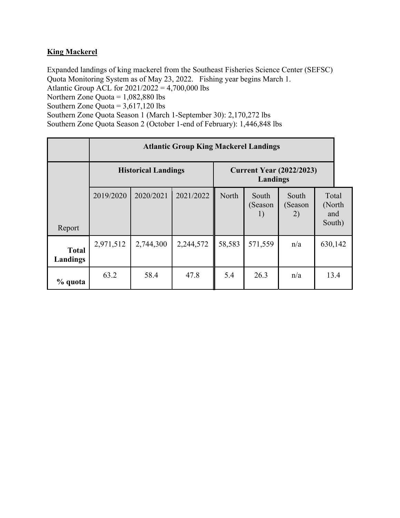## **King Mackerel**

Expanded landings of king mackerel from the Southeast Fisheries Science Center (SEFSC) Quota Monitoring System as of May 23, 2022. Fishing year begins March 1. Atlantic Group ACL for  $2021/2022 = 4,700,000$  lbs Northern Zone Quota =  $1,082,880$  lbs Southern Zone Quota =  $3,617,120$  lbs

Southern Zone Quota Season 1 (March 1-September 30): 2,170,272 lbs Southern Zone Quota Season 2 (October 1-end of February): 1,446,848 lbs

|                          | <b>Atlantic Group King Mackerel Landings</b> |           |           |                                             |                        |                        |                                  |  |
|--------------------------|----------------------------------------------|-----------|-----------|---------------------------------------------|------------------------|------------------------|----------------------------------|--|
|                          | <b>Historical Landings</b>                   |           |           | <b>Current Year (2022/2023)</b><br>Landings |                        |                        |                                  |  |
| Report                   | 2019/2020                                    | 2020/2021 | 2021/2022 | North                                       | South<br>(Season<br>1) | South<br>(Season<br>2) | Total<br>(North<br>and<br>South) |  |
| <b>Total</b><br>Landings | 2,971,512                                    | 2,744,300 | 2,244,572 | 58,583                                      | 571,559                | n/a                    | 630,142                          |  |
| % quota                  | 63.2                                         | 58.4      | 47.8      | 5.4                                         | 26.3                   | n/a                    | 13.4                             |  |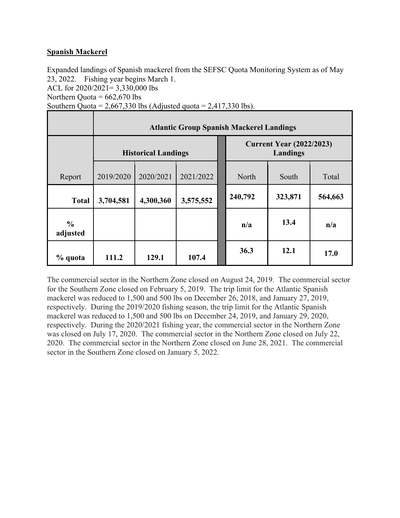## **Spanish Mackerel**

Expanded landings of Spanish mackerel from the SEFSC Quota Monitoring System as of May 23, 2022. Fishing year begins March 1. ACL for 2020/2021= 3,330,000 lbs Northern Quota =  $662,670$  lbs Southern Quota =  $2,667,330$  lbs (Adjusted quota =  $2,417,330$  lbs).

|                           | <b>Atlantic Group Spanish Mackerel Landings</b> |           |           |  |                                             |         |         |  |
|---------------------------|-------------------------------------------------|-----------|-----------|--|---------------------------------------------|---------|---------|--|
|                           | <b>Historical Landings</b>                      |           |           |  | <b>Current Year (2022/2023)</b><br>Landings |         |         |  |
| Report                    | 2019/2020                                       | 2020/2021 | 2021/2022 |  | North                                       | South   | Total   |  |
| <b>Total</b>              | 3,704,581                                       | 4,300,360 | 3,575,552 |  | 240,792                                     | 323,871 | 564,663 |  |
| $\frac{6}{6}$<br>adjusted |                                                 |           |           |  | n/a                                         | 13.4    | n/a     |  |
| % quota                   | 111.2                                           | 129.1     | 107.4     |  | 36.3                                        | 12.1    | 17.0    |  |

The commercial sector in the Northern Zone closed on August 24, 2019. The commercial sector for the Southern Zone closed on February 5, 2019. The trip limit for the Atlantic Spanish mackerel was reduced to 1,500 and 500 lbs on December 26, 2018, and January 27, 2019, respectively. During the 2019/2020 fishing season, the trip limit for the Atlantic Spanish mackerel was reduced to 1,500 and 500 lbs on December 24, 2019, and January 29, 2020, respectively. During the 2020/2021 fishing year, the commercial sector in the Northern Zone was closed on July 17, 2020. The commercial sector in the Northern Zone closed on July 22, 2020. The commercial sector in the Northern Zone closed on June 28, 2021. The commercial sector in the Southern Zone closed on January 5, 2022.